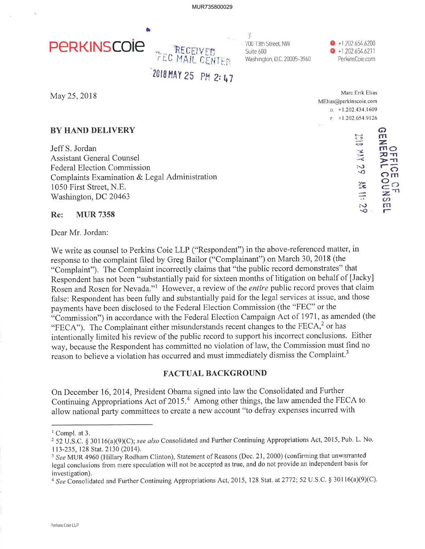MUR735800029



ş. 700 13th Street, NW Suite 600 Washington, D.C. 20005-3960

 $\bullet$  +1.202.654.6200  $\bullet$  +1.202.654.6211 PerkinsCoie.com

 $\mathbf{r}$  and  $\mathbf{r}$ 

2018 MAY 25 PM 2: 47

May 25, 2018

# **BY HAND DELIVERY**

Jeff S. Jordan **Assistant General Counsel Federal Election Commission** Complaints Examination & Legal Administration 1050 First Street, N.E. Washington, DC 20463

#### Re: **MUR 7358**

Dear Mr. Jordan:

We write as counsel to Perkins Coie LLP ("Respondent") in the above-referenced matter, in response to the complaint filed by Greg Bailor ("Complainant") on March 30, 2018 (the "Complaint"). The Complaint incorrectly claims that "the public record demonstrates" that Respondent has not been "substantially paid for sixteen months of litigation on behalf of [Jacky] Rosen and Rosen for Nevada."<sup>1</sup> However, a review of the *entire* public record proves that claim false: Respondent has been fully and substantially paid for the legal services at issue, and those payments have been disclosed to the Federal Election Commission (the "FEC" or the "Commission") in accordance with the Federal Election Campaign Act of 1971, as amended (the "FECA"). The Complainant either misunderstands recent changes to the FECA,<sup>2</sup> or has intentionally limited his review of the public record to support his incorrect conclusions. Either way, because the Respondent has committed no violation of law, the Commission must find no reason to believe a violation has occurred and must immediately dismiss the Complaint.<sup>3</sup>

### **FACTUAL BACKGROUND**

On December 16, 2014, President Obama signed into law the Consolidated and Further Continuing Appropriations Act of 2015.<sup>4</sup> Among other things, the law amended the FECA to allow national party committees to create a new account "to defray expenses incurred with

<sup>4</sup> See Consolidated and Further Continuing Appropriations Act, 2015, 128 Stat. at 2772; 52 U.S.C. § 30116(a)(9)(C).

|   | MATC ETIK EIIAS                            |                                                     |
|---|--------------------------------------------|-----------------------------------------------------|
|   | MElias@perkinscoie.com                     |                                                     |
|   | $D$ +1 202.434.1609                        |                                                     |
|   | $F_{-}$ +1.202.654.9126                    |                                                     |
| ٠ |                                            |                                                     |
|   | いっ<br>حنته<br>$\mathcal{A}$<br>$\sim$<br>∽ | ດ<br>П<br>z<br>mО<br>70<br>T <sup>2</sup><br>G<br>m |
|   |                                            |                                                     |
|   |                                            | z<br>ഗ                                              |
|   |                                            | m                                                   |
|   | ∽<br>$\sim$                                |                                                     |

 $1$  Compl. at 3.

<sup>&</sup>lt;sup>2</sup> 52 U.S.C. § 30116(a)(9)(C); see also Consolidated and Further Continuing Appropriations Act, 2015, Pub. L. No. 113-235, 128 Stat. 2130 (2014).

<sup>&</sup>lt;sup>3</sup> See MUR 4960 (Hillary Rodham Clinton), Statement of Reasons (Dec. 21, 2000) (confirming that unwarranted legal conclusions from mere speculation will not be accepted as true, and do not provide an independent basis for investigation).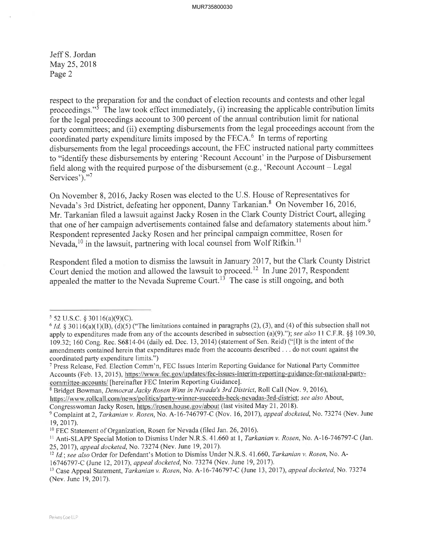Jeff S. Jordan May 25, 2018 Page 2

respect to the preparation for and the conduct of election recounts and contests and other legal proceedings."<sup>5</sup> The law took effect immediately, (i) increasing the applicable contribution limits for the legal proceedings account to 300 percent of the annual contribution limit for national party committees; and (ii) exempting disbursements from the legal proceedings account from the coordinated party expenditure limits imposed by the FECA.6 In terms of reporting disbursements from the legal proceedings account, the FEC instructed national party committees to "identify these disbursements by entering 'Recount Account' in the Purpose of Disbursement field along with the required purpose of the disbursement (e.g., 'Recount Account  $-$  Legal Services')."7

On November 8, 2016, Jacky Rosen was elected to the U.S. House of Representatives for Nevada's 3rd District, defeating her opponent, Danny Tarkanian.<sup>8</sup> On November 16, 2016, Mr. Tarkanian filed a lawsuit against Jacky Rosen in the Clark County District Court, alleging that one of her campaign advertisements contained false and defamatory statements about him.<sup>9</sup> Respondent represented Jacky Rosen and her principal campaign committee, Rosen for Nevada,<sup>10</sup> in the lawsuit, partnering with local counsel from Wolf Rifkin.<sup>11</sup>

Respondent filed a motion to dismiss the lawsuit in January 2017, but the Clark County District Court denied the motion and allowed the lawsuit to proceed.<sup>12</sup> In June 2017, Respondent appealed the matter to the Nevada Supreme Court.<sup>13</sup> The case is still ongoing, and both

 $5$  52 U.S.C. § 30116(a)(9)(C).

 $6$  *Id.*  $8$  30116(a)(1)(B), (d)(5) ("The limitations contained in paragraphs (2), (3), and (4) of this subsection shall not apply to expenditures made from any of the accounts described in subsection (a)(9)."); see also 11 C.F.R.  $\S$ § 109.30, 109.32;160 Cong. Rec. 56814-04 (daily ed. Dec. 13,2014) (statement of Sen. Reid) ("[I]t is the intent of the amendments contained herein that expenditures made from the accounts described . . . do not count against the coordinated party expenditure limits.")

<sup>&</sup>lt;sup>7</sup> Press Release, Fed. Election Comm'n, FEC Issues Interim Reporting Guidance for National Party Committee Accounts (Feb. 13,2015), https;//www.fec.gov/updates/fec-issues-interim-repofting-guidance-for-national-partycommittee-accounts/ [hereinafter FEC Interim Reporting Guidance].

<sup>&</sup>lt;sup>8</sup> Bridget Bowman, *Democrat Jacky Rosen Wins in Nevada's 3rd District*, Roll Call (Nov. 9, 2016), https://www.rollcall.com/news/politics/party-winner-succeeds-heck-nevadas-3rd-district; see also About. Congresswoman Jacky Rosen, https://rosen.house.gov/about (last visited May 21, 2018).

<sup>&</sup>lt;sup>9</sup> Complaint at 2, Tarkanian v. Rosen, No. A-16-746797-C (Nov. 16, 2017), appeal docketed, No. 73274 (Nev. June 19,2017).

<sup>&</sup>lt;sup>10</sup> FEC Statement of Organization, Rosen for Nevada (filed Jan. 26, 2016).

<sup>&</sup>lt;sup>11</sup> Anti-SLAPP Special Motion to Dismiss Under N.R.S. 41.660 at 1, Tarkanian v. Rosen, No. A-16-746797-C (Jan. 25, 2017), appeal docketed, No. 73274 (Nev. June 19, 2017).

<sup>&</sup>lt;sup>12</sup> Id.; see also Order for Defendant's Motion to Dismiss Under N.R.S. 41.660, Tarkanian v. Rosen, No. A-16746191-C (June 12, 2017), appeal docketed,No.13274 (Nev. June 19,2017).

<sup>&</sup>lt;sup>13</sup> Case Appeal Statement, Tarkanian v. Rosen, No. A-16-746797-C (June 13, 2017), appeal docketed, No. 73274 (Nev. June 19, 2017).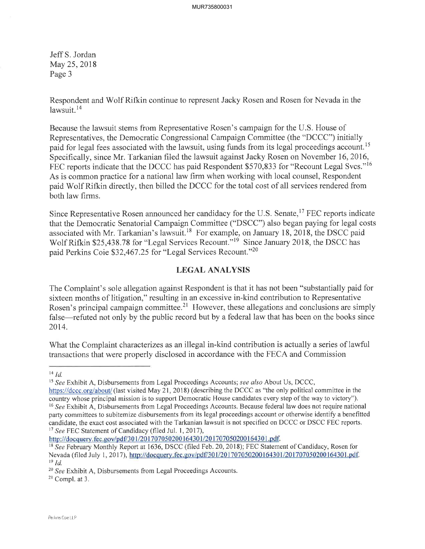JeffS. Jordan May 25, 2018 Page 3

Respondent and Wolf Rifkin continue to represent Jacky Rosen and Rosen for Nevada in the lawsuit.<sup>14</sup>

Because the lawsuit stems from Representative Rosen's campaign for the U.S. House of Representatives, the Democratic Congressional Campaign Committee (the "DCCC") initially paid for legal fees associated with the lawsuit, using funds from its legal proceedings account.<sup>15</sup> Specifically, since Mr. Tarkanian filed the lawsuit against Jacky Rosen on November 16,2016, FEC reports indicate that the DCCC has paid Respondent \$570,833 for "Recount Legal Svcs."<sup>16</sup> As is common practice for a national law firm when working with local counsel, Respondent paid Wolf Rifkin directly, then billed the DCCC for the total cost of all services rendered from both law firms.

Since Representative Rosen announced her candidacy for the U.S. Senate,<sup>17</sup> FEC reports indicate that the Democratic Senatorial Campaign Committee ("DSCC") also began paying for legal costs associated with Mr. Tarkanian's lawsuit.<sup>18</sup> For example, on January 18, 2018, the DSCC paid Wolf Rifkin \$25,438.78 for "Legal Services Recount."<sup>19</sup> Since January 2018, the DSCC has paid Perkins Coie 532,467 .25 for "Legal Services Recount."20

## LEGAL ANALYSIS

The Complaint's sole allegation against Respondent is that it has not been "substantially paid for sixteen months of litigation," resulting in an excessive in-kind contribution to Representative Rosen's principal campaign committee.<sup>21</sup> However, these allegations and conclusions are simply false—refuted not only by the public record but by a federal law that has been on the books since 2014.

What the Complaint characterizes as an illegal in-kind contribution is actually a series of lawful transactions that were properly disclosed in accordance with the FECA and Commission

http://docquery.fec.gov/pdf/301/201707050200164301/201707050200164301.pdf.

 $^{14}$  Id.

<sup>&</sup>lt;sup>15</sup> See Exhibit A, Disbursements from Legal Proceedings Accounts; see also About Us, DCCC,

https://dccc.org/about/ (last visited May 21, 2018) (describing the DCCC as "the only political committee in the country whose principal mission is to support Democratic House candidates every step of the way to victory"). <sup>16</sup> See Exhibit A, Disbursements from Legal Proceedings Accounts. Because federal law does not require national party committees to subitemize disbursements from its legal proceedings account or otherwise identify a benefitted candidate, the exact cost associated with the Tarkanian lawsuit is not specifred on DCCC or DSCC FEC reports. <sup>17</sup> See FEC Statement of Candidacy (filed Jul. 1, 2017),

<sup>&</sup>lt;sup>18</sup> See February Monthly Report at 1636, DSCC (filed Feb. 20, 2018); FEC Statement of Candidacy, Rosen for Nevada (filed July 1, 2017), http://docquery.fec.gov/pdf/301/201707050200164301/201707050200164301.pdf.  $19$  *Id.* 

<sup>&</sup>lt;sup>20</sup> See Exhibit A, Disbursements from Legal Proceedings Accounts.

 $21$  Compl. at 3.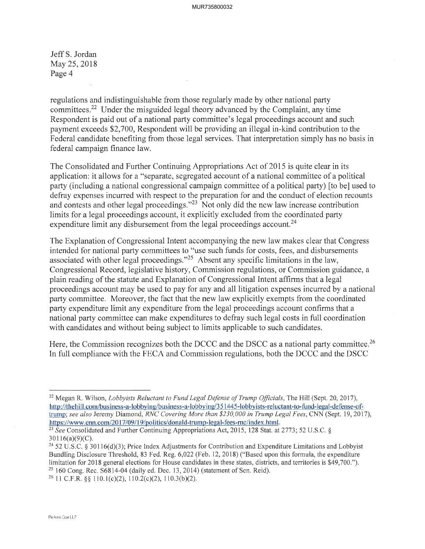Jeff S. Jordan May 25,2018 Page 4

regulations and indistinguishable from those regularly made by other national party committees.22 Under the misguided legal theory advanced by the Complaint, any time Respondent is paid out of a national party committee's legal proceedings account and such payment exceeds 52,700, Respondent will be providing an illegal in-kind contribution to the Federal candidate benefiting from those legal services. That interpretation simply has no basis in federal campaign finance law.

The Consolidated and Further Continuing Appropriations Act of 2015 is quite clear in its application: it allows for a "separate, segregated account of a national committee of a political party (including a national congressional campaign committee of a political party) fto be] used to defray expenses incurred with respect to the preparation for and the conduct of election recounts and contests and other legal proceedings."23 Not only did the new law increase contribution limits for a legal proceedings account, it explicitly excluded from the coordinated party expenditure limit any disbursement from the legal proceedings account.<sup>24</sup>

The Explanation of Congressional Intent accompanying the new law makes clear that Congress intended for national party committees to "use such funds for costs, fees, and disbursements associated with other legal proceedings."<sup>25</sup> Absent any specific limitations in the law, Congressional Record, legislative history, Commission regulations, or Commission guidance, a plain reading of the statute and Explanation of Congressional Intent affirms that a legal proceedings account may be used to pay for any and all litigation expenses incurred by a national party committee. Moreover, the fact that the new law explicitly exempts from the coordinated party expenditure limit any expenditure from the legal proceedings account confirms that a national party committee can make expenditures to defray such legal costs in full coordination with candidates and without being subject to limits applicable to such candidates.

Here, the Commission recognizes both the DCCC and the DSCC as a national party committee.<sup>26</sup> In full compliance with the FECA and Commission regulations, both the DCCC and the DSCC

<sup>&</sup>lt;sup>22</sup> Megan R. Wilson, *Lobbyists Reluctant to Fund Legal Defense of Trump Officials*, The Hill (Sept. 20, 2017), http://thehill.com/business-a-lobbying/business-a-lobbying/351445-lobbyists-reluctant-to-fund-legal-defense-oftrump; see also Jeremy Diamond, RNC Covering More than \$230,000 in Trump Legal Fees, CNN (Sept. 19, 2017), https://www.cnn.com/2017/09/19/politics/donald-trump-legal-fees-rnc/index.html.

<sup>&</sup>lt;sup>23</sup> See Consolidated and Further Continuing Appropriations Act, 2015, 128 Stat. at 2773; 52 U.S.C. §  $30116(a)(9)(C)$ .

<sup>&</sup>lt;sup>24</sup> 52 U.S.C. § 30116(d)(3); Price Index Adjustments for Contribution and Expenditure Limitations and Lobbyist Bundling Disclosure Threshold, 83 Fed. Reg. 6,022 (Feb. 12, 2018) ("Based upon this formula, the expenditure limitation for 2018 general elections for House candidates in these states, districts, and territories is \$49,700.").  $25$  160 Cong. Rec.  $S6814-04$  (daily ed. Dec. 13, 2014) (statement of Sen. Reid).

<sup>&</sup>lt;sup>26</sup> 11 C.F.R. §§ 110.1(c)(2), 110.2(c)(2), 110.3(b)(2).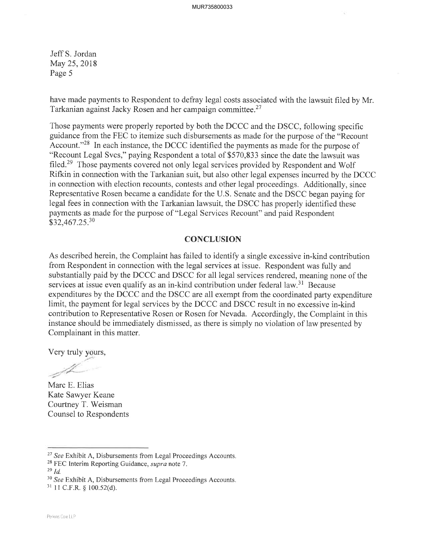Jeff S. Jordan May 25, 2018 Page 5

have made payments to Respondent to defray legal costs associated with the lawsuit filed by Mr. Tarkanian against Jacky Rosen and her campaign committee.<sup>27</sup>

Those payments were properly reported by both the DCCC and the DSCC, following specific guidance from the FEC to itemize such disbursements as made for the purpose of the "Recount Account."<sup>28</sup> In each instance, the DCCC identified the payments as made for the purpose of "Recount Legal Svcs," paying Respondent a total of \$570,833 since the date the lawsuit was filed.<sup>29</sup> Those payments covered not only legal services provided by Respondent and Wolf Rifkin in connection with the Tarkanian suit, but also other legal expenses incurred by the DCCC in connection with election recounts, contests and other legal proceedings. Additionally, since Representative Rosen became a candidate for the U.S. Senate and the DSCC began paying for legal fees in connection with the Tarkanian lawsuit, the DSCC has properly identified these payments as made for the purpose of "Legal Services Recount" and paid Respondent \$32,467.25.30

#### **CONCLUSION**

As described herein, the Complaint has failed to identify a single excessive in-kind contribution from Respondent in connection with the legal services at issue. Respondent was fully and substantially paid by the DCCC and DSCC for all legal services rendered, meaning none of the services at issue even qualify as an in-kind contribution under federal law.<sup>31</sup> Because expenditures by the DCCC and the DSCC are all exempt from the coordinated party expenditure limit, the payment for legal services by the DCCC and DSCC result in no excessive in-kind contribution to Representative Rosen or Rosen for Nevada. Accordingly, the Complaint in this instance should be immediately dismissed, as there is simply no violation of law presented by Complainant in this matter.

Very truly yours,

 $\mathcal{L}$ 

Marc E. Elias Kate Sawyer Keane Courtney T. Weisman Counsel to Respondents

 $29$  Id.

 $31$  11 C.F.R. § 100.52(d).

<sup>&</sup>lt;sup>27</sup> See Exhibit A, Disbursements from Legal Proceedings Accounts.

 $28$  FEC Interim Reporting Guidance, *supra* note 7.

<sup>&</sup>lt;sup>30</sup> See Exhibit A, Disbursements from Legal Proceedings Accounts.